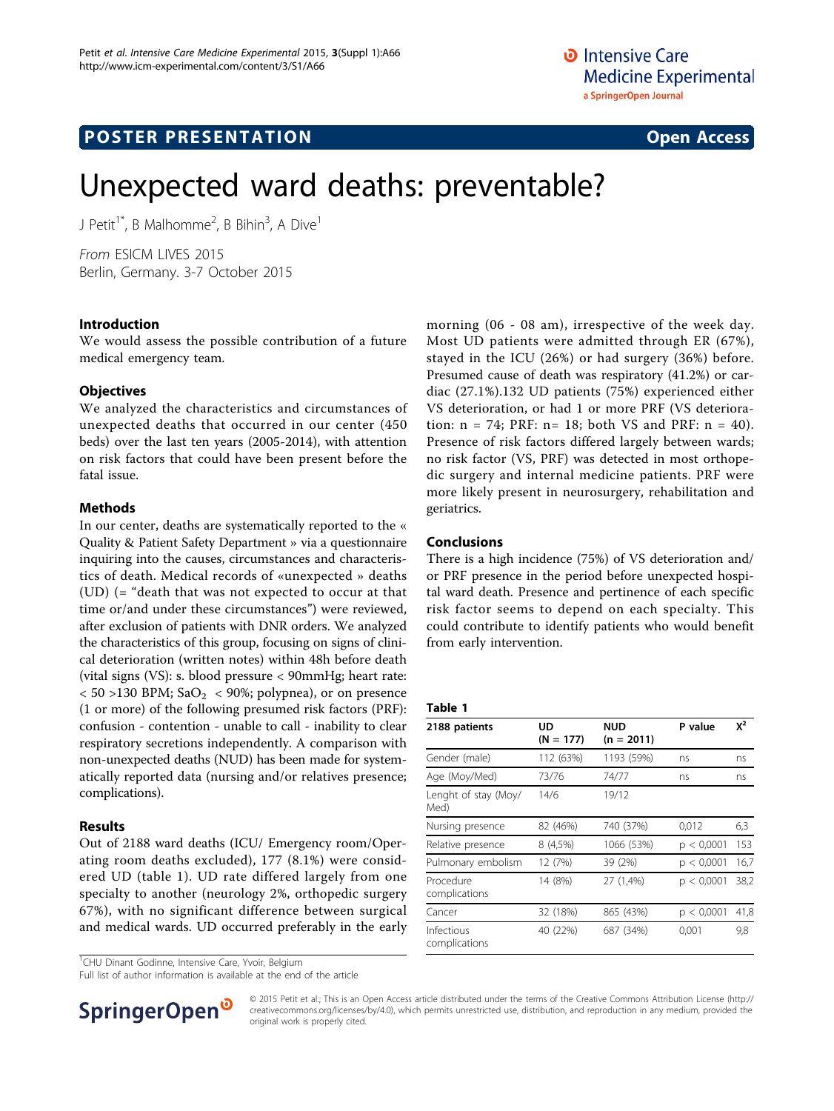# **POSTER PRESENTATION CONSUMING THE SERVICE SERVICE SERVICES**

# Unexpected ward deaths: preventable?

J Petit<sup>1\*</sup>, B Malhomme<sup>2</sup>, B Bihin<sup>3</sup>, A Dive<sup>1</sup>

From ESICM LIVES 2015 Berlin, Germany. 3-7 October 2015

#### Introduction

We would assess the possible contribution of a future medical emergency team.

#### **Objectives**

We analyzed the characteristics and circumstances of unexpected deaths that occurred in our center (450 beds) over the last ten years (2005-2014), with attention on risk factors that could have been present before the fatal issue.

#### **Methods**

In our center, deaths are systematically reported to the « Quality & Patient Safety Department » via a questionnaire inquiring into the causes, circumstances and characteristics of death. Medical records of «unexpected » deaths (UD) (= "death that was not expected to occur at that time or/and under these circumstances") were reviewed, after exclusion of patients with DNR orders. We analyzed the characteristics of this group, focusing on signs of clinical deterioration (written notes) within 48h before death (vital signs (VS): s. blood pressure < 90mmHg; heart rate:  $<$  50 >130 BPM; SaO<sub>2</sub>  $<$  90%; polypnea), or on presence (1 or more) of the following presumed risk factors (PRF): confusion - contention - unable to call - inability to clear respiratory secretions independently. A comparison with non-unexpected deaths (NUD) has been made for systematically reported data (nursing and/or relatives presence; complications).

### Results

Out of 2188 ward deaths (ICU/ Emergency room/Operating room deaths excluded), 177 (8.1%) were considered UD (table 1). UD rate differed largely from one specialty to another (neurology 2%, orthopedic surgery 67%), with no significant difference between surgical and medical wards. UD occurred preferably in the early

<sup>1</sup>CHU Dinant Godinne, Intensive Care, Yvoir, Belgium

Full list of author information is available at the end of the article



morning (06 - 08 am), irrespective of the week day. Most UD patients were admitted through ER (67%), stayed in the ICU (26%) or had surgery (36%) before. Presumed cause of death was respiratory (41.2%) or cardiac (27.1%).132 UD patients (75%) experienced either VS deterioration, or had 1 or more PRF (VS deterioration:  $n = 74$ ; PRF:  $n = 18$ ; both VS and PRF:  $n = 40$ ). Presence of risk factors differed largely between wards; no risk factor (VS, PRF) was detected in most orthopedic surgery and internal medicine patients. PRF were more likely present in neurosurgery, rehabilitation and geriatrics.

#### Conclusions

There is a high incidence (75%) of VS deterioration and/ or PRF presence in the period before unexpected hospital ward death. Presence and pertinence of each specific risk factor seems to depend on each specialty. This could contribute to identify patients who would benefit from early intervention.

#### Table 1

| 2188 patients                | UD<br>$(N = 177)$ | <b>NUD</b><br>$(n = 2011)$ | P value    | $X^2$ |
|------------------------------|-------------------|----------------------------|------------|-------|
| Gender (male)                | 112 (63%)         | 1193 (59%)                 | ns         | ns    |
| Age (Moy/Med)                | 73/76             | 74/77                      | ns         | ns    |
| Lenght of stay (Moy/<br>Med) | 14/6              | 19/12                      |            |       |
| Nursing presence             | 82 (46%)          | 740 (37%)                  | 0,012      | 6,3   |
| Relative presence            | 8 (4,5%)          | 1066 (53%)                 | p < 0,0001 | 153   |
| Pulmonary embolism           | 12 (7%)           | 39 (2%)                    | p < 0.0001 | 16,7  |
| Procedure<br>complications   | 14 (8%)           | 27 (1,4%)                  | p < 0.0001 | 38,2  |
| Cancer                       | 32 (18%)          | 865 (43%)                  | p < 0,0001 | 41,8  |
| Infectious<br>complications  | 40 (22%)          | 687 (34%)                  | 0,001      | 9,8   |

© 2015 Petit et al.; This is an Open Access article distributed under the terms of the Creative Commons Attribution License [\(http://](http://creativecommons.org/licenses/by/4.0) [creativecommons.org/licenses/by/4.0](http://creativecommons.org/licenses/by/4.0)), which permits unrestricted use, distribution, and reproduction in any medium, provided the original work is properly cited.